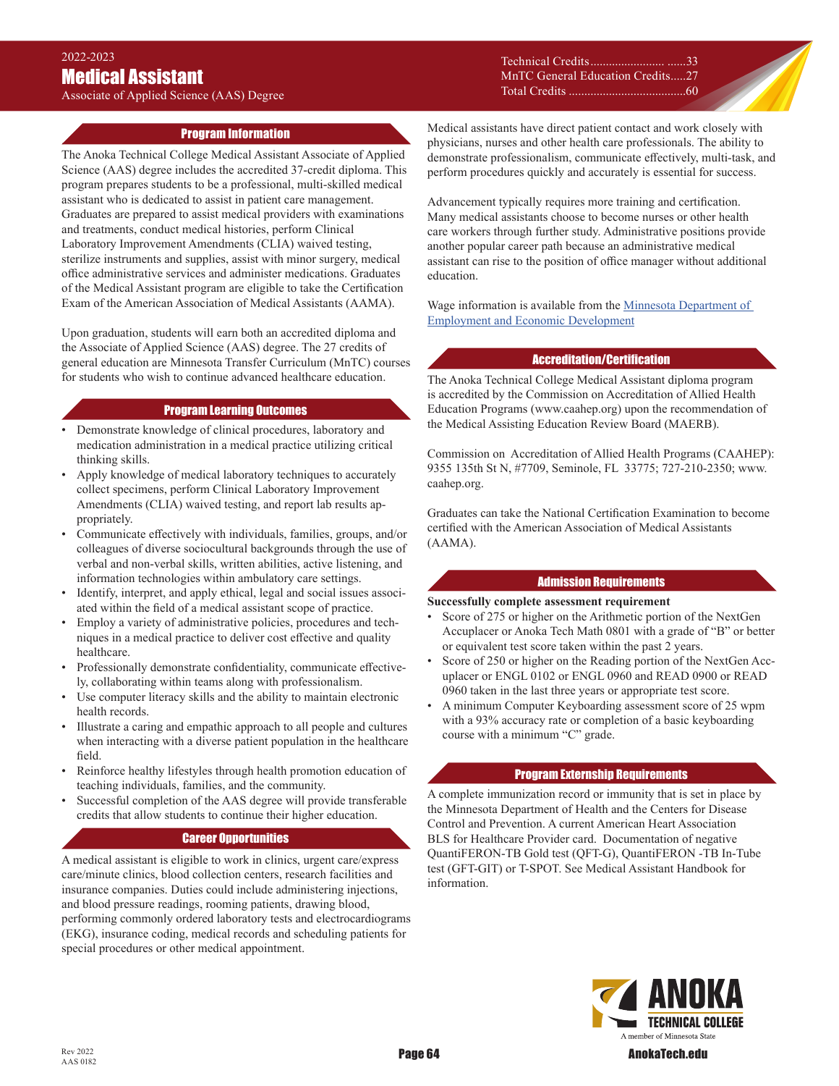# Associate of Applied Science (AAS) Degree

### Technical Credits........................ ......33 MnTC General Education Credits .....27 Total Credits ......................................60

### . Program Information

The Anoka Technical College Medical Assistant Associate of Applied Science (AAS) degree includes the accredited 37-credit diploma. This program prepares students to be a professional, multi-skilled medical assistant who is dedicated to assist in patient care management. Graduates are prepared to assist medical providers with examinations and treatments, conduct medical histories, perform Clinical Laboratory Improvement Amendments (CLIA) waived testing, sterilize instruments and supplies, assist with minor surgery, medical office administrative services and administer medications. Graduates of the Medical Assistant program are eligible to take the Certification Exam of the American Association of Medical Assistants (AAMA).

Upon graduation, students will earn both an accredited diploma and the Associate of Applied Science (AAS) degree. The 27 credits of general education are Minnesota Transfer Curriculum (MnTC) courses for students who wish to continue advanced healthcare education.

### Program Learning Outcomes

- Demonstrate knowledge of clinical procedures, laboratory and medication administration in a medical practice utilizing critical thinking skills.
- Apply knowledge of medical laboratory techniques to accurately collect specimens, perform Clinical Laboratory Improvement Amendments (CLIA) waived testing, and report lab results appropriately.
- Communicate effectively with individuals, families, groups, and/or colleagues of diverse sociocultural backgrounds through the use of verbal and non-verbal skills, written abilities, active listening, and information technologies within ambulatory care settings.
- Identify, interpret, and apply ethical, legal and social issues associated within the field of a medical assistant scope of practice.
- Employ a variety of administrative policies, procedures and techniques in a medical practice to deliver cost effective and quality healthcare.
- Professionally demonstrate confidentiality, communicate effectively, collaborating within teams along with professionalism.
- Use computer literacy skills and the ability to maintain electronic health records.
- Illustrate a caring and empathic approach to all people and cultures when interacting with a diverse patient population in the healthcare field.
- Reinforce healthy lifestyles through health promotion education of teaching individuals, families, and the community.
- Successful completion of the AAS degree will provide transferable credits that allow students to continue their higher education.

### Career Opportunities

A medical assistant is eligible to work in clinics, urgent care/express care/minute clinics, blood collection centers, research facilities and insurance companies. Duties could include administering injections, and blood pressure readings, rooming patients, drawing blood, performing commonly ordered laboratory tests and electrocardiograms (EKG), insurance coding, medical records and scheduling patients for special procedures or other medical appointment.

Medical assistants have direct patient contact and work closely with physicians, nurses and other health care professionals. The ability to demonstrate professionalism, communicate effectively, multi-task, and perform procedures quickly and accurately is essential for success.

Advancement typically requires more training and certification. Many medical assistants choose to become nurses or other health care workers through further study. Administrative positions provide another popular career path because an administrative medical assistant can rise to the position of office manager without additional education.

Wage information is available from the Minnesota Department of [Employment and Economic Development](https://mn.gov/deed/job-seekers/job-outlook/)

#### Accreditation/Certification

The Anoka Technical College Medical Assistant diploma program is accredited by the Commission on Accreditation of Allied Health Education Programs (www.caahep.org) upon the recommendation of the Medical Assisting Education Review Board (MAERB).

Commission on Accreditation of Allied Health Programs (CAAHEP): 9355 135th St N, #7709, Seminole, FL 33775; 727-210-2350; www. caahep.org.

Graduates can take the National Certification Examination to become certified with the American Association of Medical Assistants (AAMA).

#### Admission Requirements

### **Successfully complete assessment requirement**

- Score of 275 or higher on the Arithmetic portion of the NextGen Accuplacer or Anoka Tech Math 0801 with a grade of "B" or better or equivalent test score taken within the past 2 years.
- Score of 250 or higher on the Reading portion of the NextGen Accuplacer or ENGL 0102 or ENGL 0960 and READ 0900 or READ 0960 taken in the last three years or appropriate test score.
- A minimum Computer Keyboarding assessment score of 25 wpm with a 93% accuracy rate or completion of a basic keyboarding course with a minimum "C" grade.

#### Program Externship Requirements

A complete immunization record or immunity that is set in place by the Minnesota Department of Health and the Centers for Disease Control and Prevention. A current American Heart Association BLS for Healthcare Provider card. Documentation of negative QuantiFERON-TB Gold test (QFT-G), QuantiFERON -TB In-Tube test (GFT-GIT) or T-SPOT. See Medical Assistant Handbook for information.